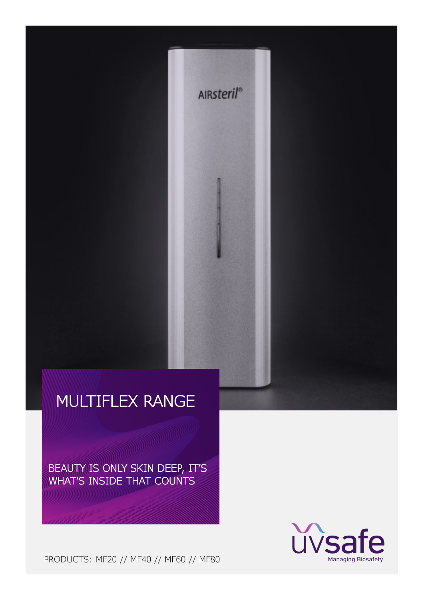BEAUTY IS ONLY SKIN DEEP, IT'S WHAT'S INSIDE THAT COUNTS



**AIRsteril®** 



PRODUCTS: MF20 // MF40 // MF60 // MF80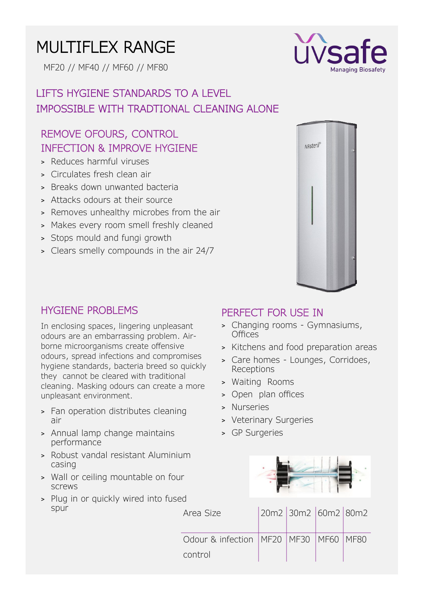MF20 // MF40 // MF60 // MF80

# LIFTS HYGIENE STANDARDS TO A LEVEL IMPOSSIBLE WITH TRADTIONAL CLEANING ALONE

## REMOVE OFOURS, CONTROL INFECTION & IMPROVE HYGIENE

- > Reduces harmful viruses
- > Circulates fresh clean air
- > Breaks down unwanted bacteria
- > Attacks odours at their source
- > Removes unhealthy microbes from the air
- > Makes every room smell freshly cleaned
- > Stops mould and fungi growth
- > Clears smelly compounds in the air 24/7



### HYGIENE PROBLEMS

In enclosing spaces, lingering unpleasant odours are an embarrassing problem. Airborne microorganisms create offensive odours, spread infections and compromises hygiene standards, bacteria breed so quickly they cannot be cleared with traditional cleaning. Masking odours can create a more unpleasant environment.

- > Fan operation distributes cleaning air
- > Annual lamp change maintains performance
- > Robust vandal resistant Aluminium casing
- > Wall or ceiling mountable on four screws
- > Plug in or quickly wired into fused spur

### PERFECT FOR USE IN

- > Changing rooms Gymnasiums, Offices
- > Kitchens and food preparation areas
- > Care homes Lounges, Corridoes, Receptions
- > Waiting Rooms
- > Open plan offices
- > Nurseries
- > Veterinary Surgeries
- > GP Surgeries



| Area Size                                                | 20m2 30m2 60m2 80m2 |  |
|----------------------------------------------------------|---------------------|--|
| Odour & infection   MF20   MF30   MF60   MF80<br>control |                     |  |

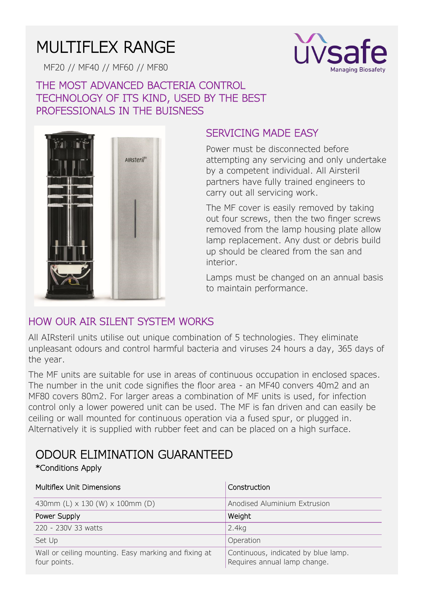MF20 // MF40 // MF60 // MF80



## THE MOST ADVANCED BACTERIA CONTROL TECHNOLOGY OF ITS KIND, USED BY THE BEST PROFESSIONALS IN THE BUISNESS



## SERVICING MADE EASY

Power must be disconnected before attempting any servicing and only undertake by a competent individual. All Airsteril partners have fully trained engineers to carry out all servicing work.

The MF cover is easily removed by taking out four screws, then the two finger screws removed from the lamp housing plate allow lamp replacement. Any dust or debris build up should be cleared from the san and interior.

Lamps must be changed on an annual basis to maintain performance.

## HOW OUR AIR SILENT SYSTEM WORKS

All AIRsteril units utilise out unique combination of 5 technologies. They eliminate unpleasant odours and control harmful bacteria and viruses 24 hours a day, 365 days of the year.

The MF units are suitable for use in areas of continuous occupation in enclosed spaces. The number in the unit code signifies the floor area - an MF40 convers 40m2 and an MF80 covers 80m2. For larger areas a combination of MF units is used, for infection control only a lower powered unit can be used. The MF is fan driven and can easily be ceiling or wall mounted for continuous operation via a fused spur, or plugged in. Alternatively it is supplied with rubber feet and can be placed on a high surface.

# ODOUR ELIMINATION GUARANTEED

#### \*Conditions Apply

| <b>Multiflex Unit Dimensions</b>                                     | Construction                                                        |  |  |
|----------------------------------------------------------------------|---------------------------------------------------------------------|--|--|
| 430mm (L) x 130 (W) x 100mm (D)                                      | Anodised Aluminium Extrusion                                        |  |  |
| Power Supply                                                         | Weight                                                              |  |  |
| 220 - 230V 33 watts                                                  | 2.4kg                                                               |  |  |
| Set Up                                                               | Operation                                                           |  |  |
| Wall or ceiling mounting. Easy marking and fixing at<br>four points. | Continuous, indicated by blue lamp.<br>Requires annual lamp change. |  |  |